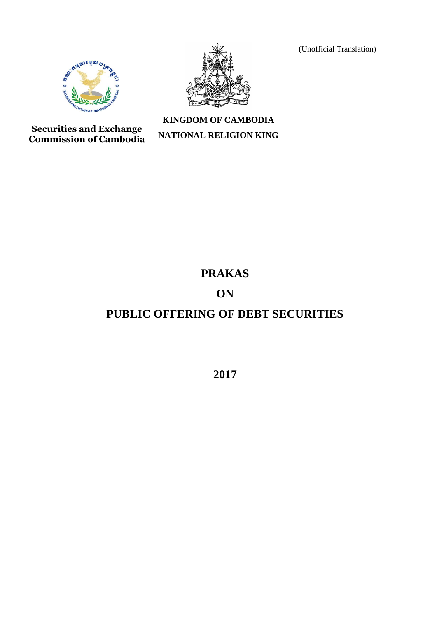(Unofficial Translation)





**Securities and Exchange Commission of Cambodia**

# **KINGDOM OF CAMBODIA NATIONAL RELIGION KING**

# **PRAKAS**

# **ON**

# **PUBLIC OFFERING OF DEBT SECURITIES**

**2017**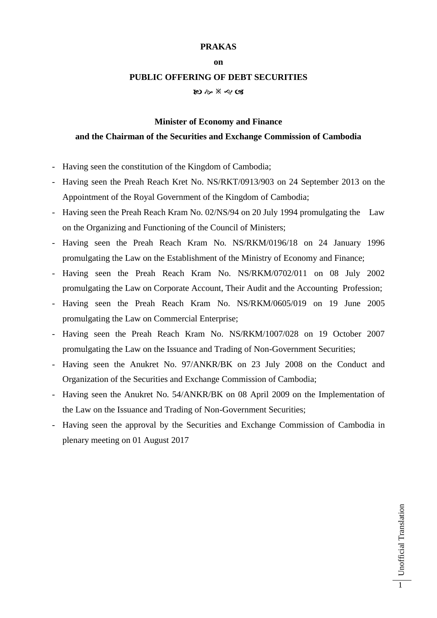#### **PRAKAS**

#### **on**

#### **PUBLIC OFFERING OF DEBT SECURITIES**

อ ๑ \* ๔ ๘

#### **Minister of Economy and Finance**

### **and the Chairman of the Securities and Exchange Commission of Cambodia**

- Having seen the constitution of the Kingdom of Cambodia;
- Having seen the Preah Reach Kret No. NS/RKT/0913/903 on 24 September 2013 on the Appointment of the Royal Government of the Kingdom of Cambodia;
- Having seen the Preah Reach Kram No. 02/NS/94 on 20 July 1994 promulgating the Law on the Organizing and Functioning of the Council of Ministers;
- Having seen the Preah Reach Kram No. NS/RKM/0196/18 on 24 January 1996 promulgating the Law on the Establishment of the Ministry of Economy and Finance;
- Having seen the Preah Reach Kram No. NS/RKM/0702/011 on 08 July 2002 promulgating the Law on Corporate Account, Their Audit and the Accounting Profession;
- Having seen the Preah Reach Kram No. NS/RKM/0605/019 on 19 June 2005 promulgating the Law on Commercial Enterprise;
- Having seen the Preah Reach Kram No. NS/RKM/1007/028 on 19 October 2007 promulgating the Law on the Issuance and Trading of Non-Government Securities;
- Having seen the Anukret No. 97/ANKR/BK on 23 July 2008 on the Conduct and Organization of the Securities and Exchange Commission of Cambodia;
- Having seen the Anukret No. 54/ANKR/BK on 08 April 2009 on the Implementation of the Law on the Issuance and Trading of Non-Government Securities;
- Having seen the approval by the Securities and Exchange Commission of Cambodia in plenary meeting on 01 August 2017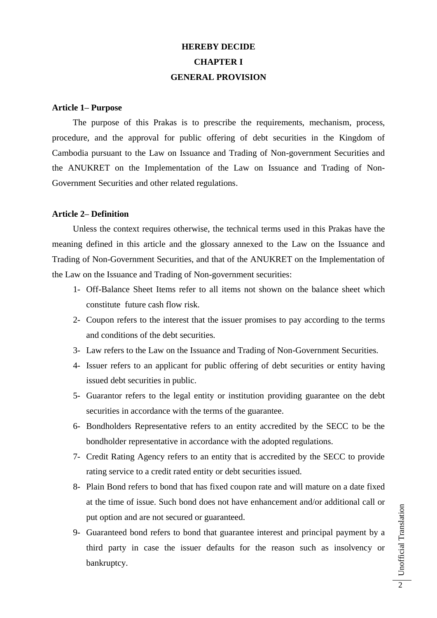# **HEREBY DECIDE CHAPTER I GENERAL PROVISION**

#### **Article 1– Purpose**

The purpose of this Prakas is to prescribe the requirements, mechanism, process, procedure, and the approval for public offering of debt securities in the Kingdom of Cambodia pursuant to the Law on Issuance and Trading of Non-government Securities and the ANUKRET on the Implementation of the Law on Issuance and Trading of Non-Government Securities and other related regulations.

### **Article 2– Definition**

Unless the context requires otherwise, the technical terms used in this Prakas have the meaning defined in this article and the glossary annexed to the Law on the Issuance and Trading of Non-Government Securities, and that of the ANUKRET on the Implementation of the Law on the Issuance and Trading of Non-government securities:

- 1- Off-Balance Sheet Items refer to all items not shown on the balance sheet which constitute future cash flow risk.
- 2- Coupon refers to the interest that the issuer promises to pay according to the terms and conditions of the debt securities.
- 3- Law refers to the Law on the Issuance and Trading of Non-Government Securities.
- 4- Issuer refers to an applicant for public offering of debt securities or entity having issued debt securities in public.
- 5- Guarantor refers to the legal entity or institution providing guarantee on the debt securities in accordance with the terms of the guarantee.
- 6- Bondholders Representative refers to an entity accredited by the SECC to be the bondholder representative in accordance with the adopted regulations.
- 7- Credit Rating Agency refers to an entity that is accredited by the SECC to provide rating service to a credit rated entity or debt securities issued.
- 8- Plain Bond refers to bond that has fixed coupon rate and will mature on a date fixed at the time of issue. Such bond does not have enhancement and/or additional call or put option and are not secured or guaranteed.
- 9- Guaranteed bond refers to bond that guarantee interest and principal payment by a third party in case the issuer defaults for the reason such as insolvency or bankruptcy.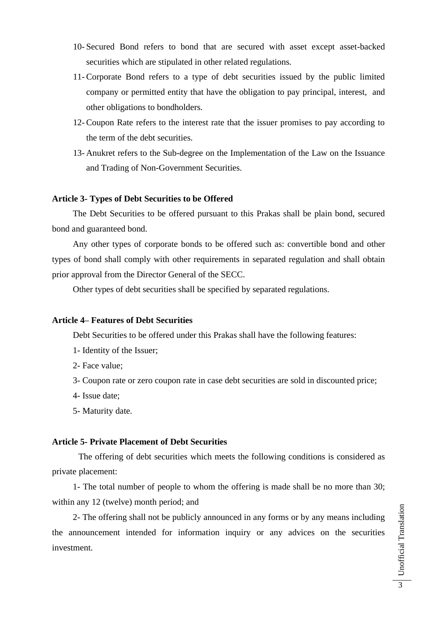- 10- Secured Bond refers to bond that are secured with asset except asset-backed securities which are stipulated in other related regulations.
- 11- Corporate Bond refers to a type of debt securities issued by the public limited company or permitted entity that have the obligation to pay principal, interest, and other obligations to bondholders.
- 12- Coupon Rate refers to the interest rate that the issuer promises to pay according to the term of the debt securities.
- 13- Anukret refers to the Sub-degree on the Implementation of the Law on the Issuance and Trading of Non-Government Securities.

#### **Article 3- Types of Debt Securities to be Offered**

The Debt Securities to be offered pursuant to this Prakas shall be plain bond, secured bond and guaranteed bond.

Any other types of corporate bonds to be offered such as: convertible bond and other types of bond shall comply with other requirements in separated regulation and shall obtain prior approval from the Director General of the SECC.

Other types of debt securities shall be specified by separated regulations.

### **Article 4– Features of Debt Securities**

Debt Securities to be offered under this Prakas shall have the following features:

- 1- Identity of the Issuer;
- 2- Face value;
- 3- Coupon rate or zero coupon rate in case debt securities are sold in discounted price;
- 4- Issue date;
- 5- Maturity date.

#### **Article 5- Private Placement of Debt Securities**

The offering of debt securities which meets the following conditions is considered as private placement:

1- The total number of people to whom the offering is made shall be no more than 30; within any 12 (twelve) month period; and

2- The offering shall not be publicly announced in any forms or by any means including the announcement intended for information inquiry or any advices on the securities investment.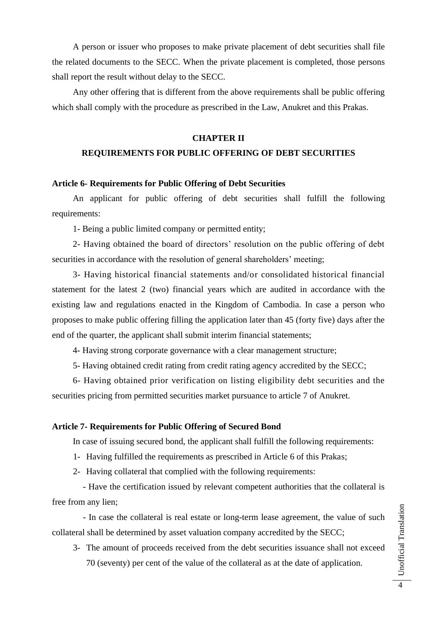A person or issuer who proposes to make private placement of debt securities shall file the related documents to the SECC. When the private placement is completed, those persons shall report the result without delay to the SECC.

Any other offering that is different from the above requirements shall be public offering which shall comply with the procedure as prescribed in the Law, Anukret and this Prakas.

#### **CHAPTER II**

# **REQUIREMENTS FOR PUBLIC OFFERING OF DEBT SECURITIES**

#### **Article 6- Requirements for Public Offering of Debt Securities**

An applicant for public offering of debt securities shall fulfill the following requirements:

1- Being a public limited company or permitted entity;

2- Having obtained the board of directors' resolution on the public offering of debt securities in accordance with the resolution of general shareholders' meeting;

3- Having historical financial statements and/or consolidated historical financial statement for the latest 2 (two) financial years which are audited in accordance with the existing law and regulations enacted in the Kingdom of Cambodia. In case a person who proposes to make public offering filling the application later than 45 (forty five) days after the end of the quarter, the applicant shall submit interim financial statements;

4- Having strong corporate governance with a clear management structure;

5- Having obtained credit rating from credit rating agency accredited by the SECC;

6- Having obtained prior verification on listing eligibility debt securities and the securities pricing from permitted securities market pursuance to article 7 of Anukret.

#### **Article 7- Requirements for Public Offering of Secured Bond**

In case of issuing secured bond, the applicant shall fulfill the following requirements:

- 1- Having fulfilled the requirements as prescribed in Article 6 of this Prakas;
- 2- Having collateral that complied with the following requirements:

 - Have the certification issued by relevant competent authorities that the collateral is free from any lien;

 - In case the collateral is real estate or long-term lease agreement, the value of such collateral shall be determined by asset valuation company accredited by the SECC;

3- The amount of proceeds received from the debt securities issuance shall not exceed 70 (seventy) per cent of the value of the collateral as at the date of application.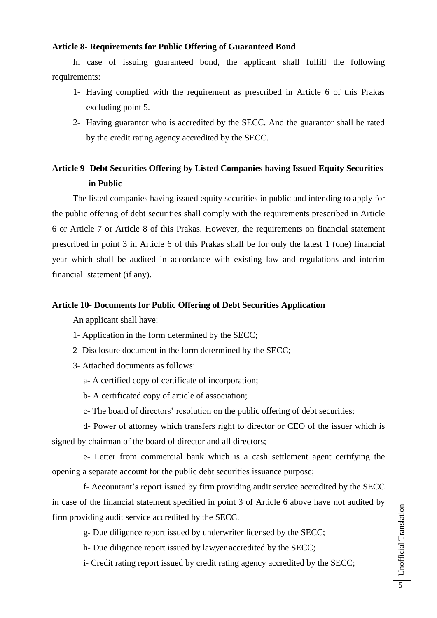# **Article 8- Requirements for Public Offering of Guaranteed Bond**

In case of issuing guaranteed bond, the applicant shall fulfill the following requirements:

- 1- Having complied with the requirement as prescribed in Article 6 of this Prakas excluding point 5.
- 2- Having guarantor who is accredited by the SECC. And the guarantor shall be rated by the credit rating agency accredited by the SECC.

# **Article 9- Debt Securities Offering by Listed Companies having Issued Equity Securities in Public**

The listed companies having issued equity securities in public and intending to apply for the public offering of debt securities shall comply with the requirements prescribed in Article 6 or Article 7 or Article 8 of this Prakas. However, the requirements on financial statement prescribed in point 3 in Article 6 of this Prakas shall be for only the latest 1 (one) financial year which shall be audited in accordance with existing law and regulations and interim financial statement (if any).

# **Article 10- Documents for Public Offering of Debt Securities Application**

An applicant shall have:

- 1- Application in the form determined by the SECC;
- 2- Disclosure document in the form determined by the SECC;
- 3- Attached documents as follows:
	- a- A certified copy of certificate of incorporation;
	- b- A certificated copy of article of association;
	- c- The board of directors' resolution on the public offering of debt securities;

d- Power of attorney which transfers right to director or CEO of the issuer which is signed by chairman of the board of director and all directors;

e- Letter from commercial bank which is a cash settlement agent certifying the opening a separate account for the public debt securities issuance purpose;

f- Accountant's report issued by firm providing audit service accredited by the SECC in case of the financial statement specified in point 3 of Article 6 above have not audited by firm providing audit service accredited by the SECC.

g- Due diligence report issued by underwriter licensed by the SECC;

h- Due diligence report issued by lawyer accredited by the SECC;

i- Credit rating report issued by credit rating agency accredited by the SECC;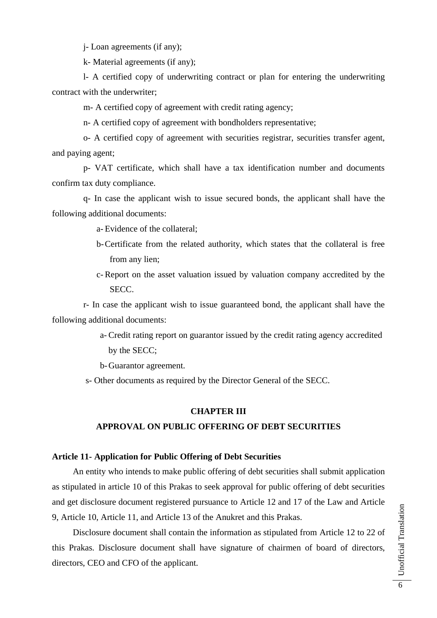j- Loan agreements (if any);

k- Material agreements (if any);

l- A certified copy of underwriting contract or plan for entering the underwriting contract with the underwriter;

m- A certified copy of agreement with credit rating agency;

n- A certified copy of agreement with bondholders representative;

o- A certified copy of agreement with securities registrar, securities transfer agent, and paying agent;

p- VAT certificate, which shall have a tax identification number and documents confirm tax duty compliance.

q- In case the applicant wish to issue secured bonds, the applicant shall have the following additional documents:

a- Evidence of the collateral;

- b-Certificate from the related authority, which states that the collateral is free from any lien;
- c- Report on the asset valuation issued by valuation company accredited by the SECC.

r- In case the applicant wish to issue guaranteed bond, the applicant shall have the following additional documents:

> a- Credit rating report on guarantor issued by the credit rating agency accredited by the SECC;

b-Guarantor agreement.

s- Other documents as required by the Director General of the SECC.

#### **CHAPTER III**

#### **APPROVAL ON PUBLIC OFFERING OF DEBT SECURITIES**

# **Article 11- Application for Public Offering of Debt Securities**

An entity who intends to make public offering of debt securities shall submit application as stipulated in article 10 of this Prakas to seek approval for public offering of debt securities and get disclosure document registered pursuance to Article 12 and 17 of the Law and Article 9, Article 10, Article 11, and Article 13 of the Anukret and this Prakas.

Disclosure document shall contain the information as stipulated from Article 12 to 22 of this Prakas. Disclosure document shall have signature of chairmen of board of directors, directors, CEO and CFO of the applicant.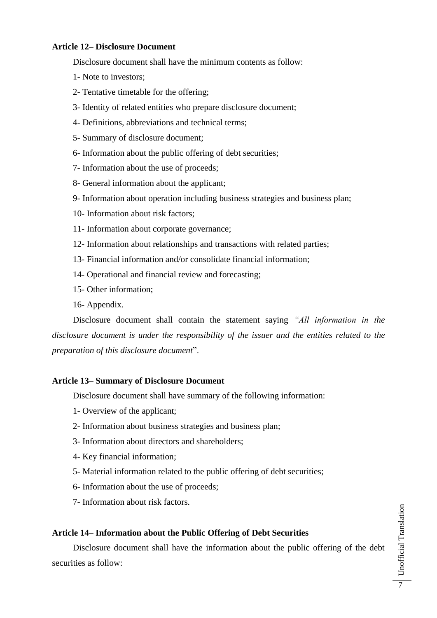# **Article 12– Disclosure Document**

Disclosure document shall have the minimum contents as follow:

- 1- Note to investors;
- 2- Tentative timetable for the offering;
- 3- Identity of related entities who prepare disclosure document;
- 4- Definitions, abbreviations and technical terms;
- 5- Summary of disclosure document;
- 6- Information about the public offering of debt securities;
- 7- Information about the use of proceeds;
- 8- General information about the applicant;
- 9- Information about operation including business strategies and business plan;
- 10- Information about risk factors;
- 11- Information about corporate governance;
- 12- Information about relationships and transactions with related parties;
- 13- Financial information and/or consolidate financial information;
- 14- Operational and financial review and forecasting;
- 15- Other information;
- 16- Appendix.

Disclosure document shall contain the statement saying *"All information in the disclosure document is under the responsibility of the issuer and the entities related to the preparation of this disclosure document*".

# **Article 13– Summary of Disclosure Document**

Disclosure document shall have summary of the following information:

- 1- Overview of the applicant;
- 2- Information about business strategies and business plan;
- 3- Information about directors and shareholders;
- 4- Key financial information;
- 5- Material information related to the public offering of debt securities;
- 6- Information about the use of proceeds;
- 7- Information about risk factors.

### **Article 14– Information about the Public Offering of Debt Securities**

Disclosure document shall have the information about the public offering of the debt securities as follow: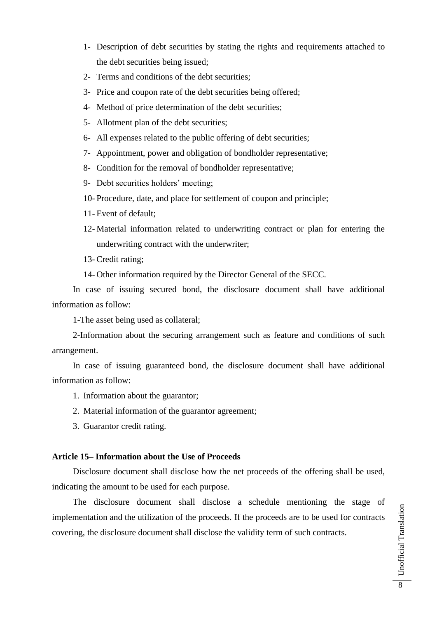- 1- Description of debt securities by stating the rights and requirements attached to the debt securities being issued;
- 2- Terms and conditions of the debt securities;
- 3- Price and coupon rate of the debt securities being offered;
- 4- Method of price determination of the debt securities;
- 5- Allotment plan of the debt securities;
- 6- All expenses related to the public offering of debt securities;
- 7- Appointment, power and obligation of bondholder representative;
- 8- Condition for the removal of bondholder representative;
- 9- Debt securities holders' meeting;
- 10- Procedure, date, and place for settlement of coupon and principle;
- 11- Event of default;
- 12- Material information related to underwriting contract or plan for entering the underwriting contract with the underwriter;
- 13- Credit rating;
- 14- Other information required by the Director General of the SECC.

In case of issuing secured bond, the disclosure document shall have additional information as follow:

1-The asset being used as collateral;

2-Information about the securing arrangement such as feature and conditions of such arrangement.

In case of issuing guaranteed bond, the disclosure document shall have additional information as follow:

- 1. Information about the guarantor;
- 2. Material information of the guarantor agreement;
- 3. Guarantor credit rating.

# **Article 15– Information about the Use of Proceeds**

Disclosure document shall disclose how the net proceeds of the offering shall be used, indicating the amount to be used for each purpose.

The disclosure document shall disclose a schedule mentioning the stage of implementation and the utilization of the proceeds. If the proceeds are to be used for contracts covering, the disclosure document shall disclose the validity term of such contracts.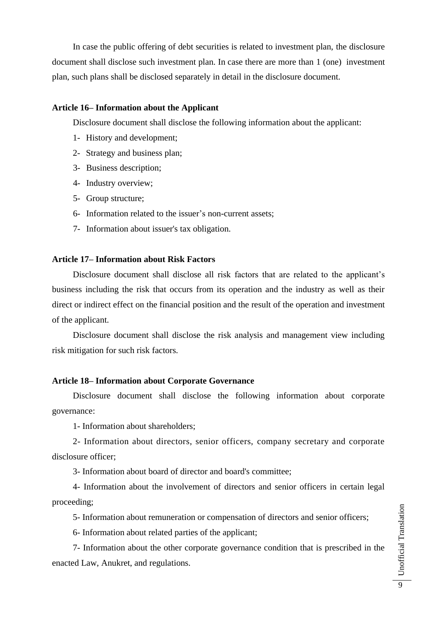In case the public offering of debt securities is related to investment plan, the disclosure document shall disclose such investment plan. In case there are more than 1 (one) investment plan, such plans shall be disclosed separately in detail in the disclosure document.

#### **Article 16– Information about the Applicant**

Disclosure document shall disclose the following information about the applicant:

- 1- History and development;
- 2- Strategy and business plan;
- 3- Business description;
- 4- Industry overview;
- 5- Group structure;
- 6- Information related to the issuer's non-current assets;
- 7- Information about issuer's tax obligation.

#### **Article 17– Information about Risk Factors**

Disclosure document shall disclose all risk factors that are related to the applicant's business including the risk that occurs from its operation and the industry as well as their direct or indirect effect on the financial position and the result of the operation and investment of the applicant.

Disclosure document shall disclose the risk analysis and management view including risk mitigation for such risk factors.

#### **Article 18– Information about Corporate Governance**

Disclosure document shall disclose the following information about corporate governance:

1- Information about shareholders;

2- Information about directors, senior officers, company secretary and corporate disclosure officer;

3- Information about board of director and board's committee;

4- Information about the involvement of directors and senior officers in certain legal proceeding;

5- Information about remuneration or compensation of directors and senior officers;

6- Information about related parties of the applicant;

7- Information about the other corporate governance condition that is prescribed in the enacted Law, Anukret, and regulations.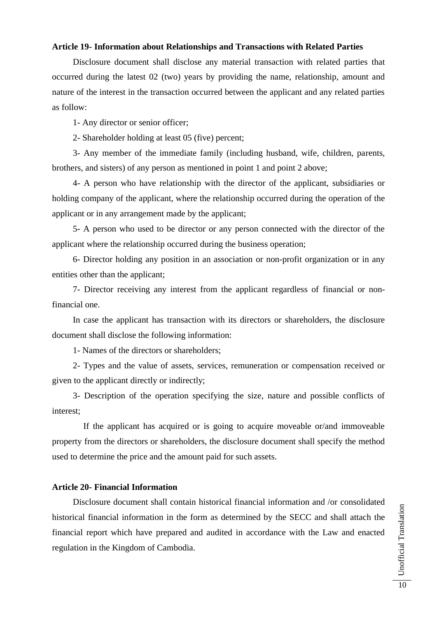### **Article 19- Information about Relationships and Transactions with Related Parties**

Disclosure document shall disclose any material transaction with related parties that occurred during the latest 02 (two) years by providing the name, relationship, amount and nature of the interest in the transaction occurred between the applicant and any related parties as follow:

1- Any director or senior officer;

2- Shareholder holding at least 05 (five) percent;

3- Any member of the immediate family (including husband, wife, children, parents, brothers, and sisters) of any person as mentioned in point 1 and point 2 above;

4- A person who have relationship with the director of the applicant, subsidiaries or holding company of the applicant, where the relationship occurred during the operation of the applicant or in any arrangement made by the applicant;

5- A person who used to be director or any person connected with the director of the applicant where the relationship occurred during the business operation;

6- Director holding any position in an association or non-profit organization or in any entities other than the applicant;

7- Director receiving any interest from the applicant regardless of financial or nonfinancial one.

In case the applicant has transaction with its directors or shareholders, the disclosure document shall disclose the following information:

1- Names of the directors or shareholders;

2- Types and the value of assets, services, remuneration or compensation received or given to the applicant directly or indirectly;

3- Description of the operation specifying the size, nature and possible conflicts of interest;

If the applicant has acquired or is going to acquire moveable or/and immoveable property from the directors or shareholders, the disclosure document shall specify the method used to determine the price and the amount paid for such assets.

#### **Article 20- Financial Information**

Disclosure document shall contain historical financial information and /or consolidated historical financial information in the form as determined by the SECC and shall attach the financial report which have prepared and audited in accordance with the Law and enacted regulation in the Kingdom of Cambodia.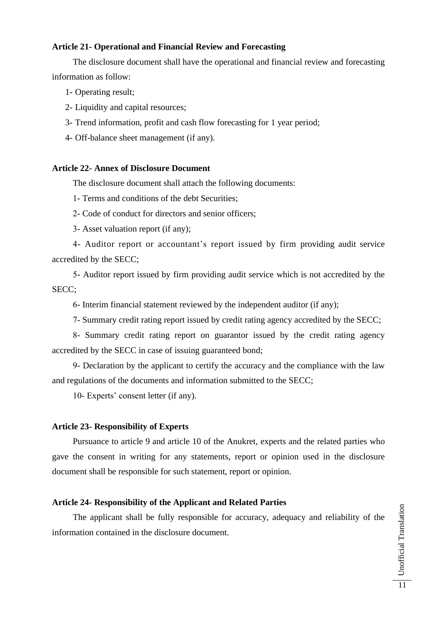# **Article 21- Operational and Financial Review and Forecasting**

The disclosure document shall have the operational and financial review and forecasting information as follow:

- 1- Operating result;
- 2- Liquidity and capital resources;
- 3- Trend information, profit and cash flow forecasting for 1 year period;
- 4- Off-balance sheet management (if any).

### **Article 22- Annex of Disclosure Document**

The disclosure document shall attach the following documents:

1- Terms and conditions of the debt Securities;

- 2- Code of conduct for directors and senior officers;
- 3- Asset valuation report (if any);

4- Auditor report or accountant's report issued by firm providing audit service accredited by the SECC;

5- Auditor report issued by firm providing audit service which is not accredited by the SECC;

6- Interim financial statement reviewed by the independent auditor (if any);

7- Summary credit rating report issued by credit rating agency accredited by the SECC;

8- Summary credit rating report on guarantor issued by the credit rating agency accredited by the SECC in case of issuing guaranteed bond;

9- Declaration by the applicant to certify the accuracy and the compliance with the law and regulations of the documents and information submitted to the SECC;

10- Experts' consent letter (if any).

### **Article 23- Responsibility of Experts**

Pursuance to article 9 and article 10 of the Anukret, experts and the related parties who gave the consent in writing for any statements, report or opinion used in the disclosure document shall be responsible for such statement, report or opinion.

# **Article 24- Responsibility of the Applicant and Related Parties**

The applicant shall be fully responsible for accuracy, adequacy and reliability of the information contained in the disclosure document.

Unofficial Translation Unofficial Translation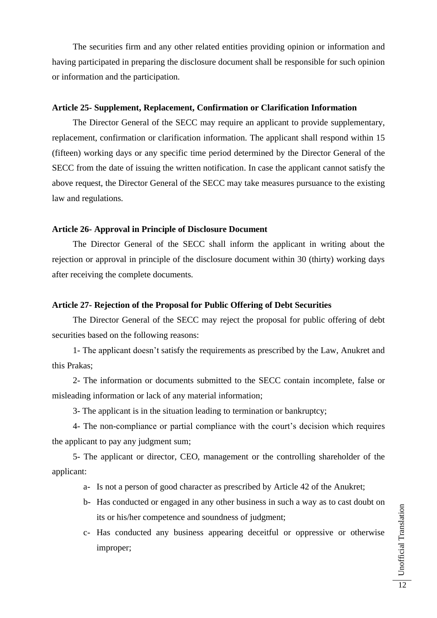The securities firm and any other related entities providing opinion or information and having participated in preparing the disclosure document shall be responsible for such opinion or information and the participation.

#### **Article 25- Supplement, Replacement, Confirmation or Clarification Information**

The Director General of the SECC may require an applicant to provide supplementary, replacement, confirmation or clarification information. The applicant shall respond within 15 (fifteen) working days or any specific time period determined by the Director General of the SECC from the date of issuing the written notification. In case the applicant cannot satisfy the above request, the Director General of the SECC may take measures pursuance to the existing law and regulations.

# **Article 26- Approval in Principle of Disclosure Document**

The Director General of the SECC shall inform the applicant in writing about the rejection or approval in principle of the disclosure document within 30 (thirty) working days after receiving the complete documents.

#### **Article 27- Rejection of the Proposal for Public Offering of Debt Securities**

The Director General of the SECC may reject the proposal for public offering of debt securities based on the following reasons:

1- The applicant doesn't satisfy the requirements as prescribed by the Law, Anukret and this Prakas;

2- The information or documents submitted to the SECC contain incomplete, false or misleading information or lack of any material information;

3- The applicant is in the situation leading to termination or bankruptcy;

4- The non-compliance or partial compliance with the court's decision which requires the applicant to pay any judgment sum;

5- The applicant or director, CEO, management or the controlling shareholder of the applicant:

- a- Is not a person of good character as prescribed by Article 42 of the Anukret;
- b- Has conducted or engaged in any other business in such a way as to cast doubt on its or his/her competence and soundness of judgment;
- c- Has conducted any business appearing deceitful or oppressive or otherwise improper;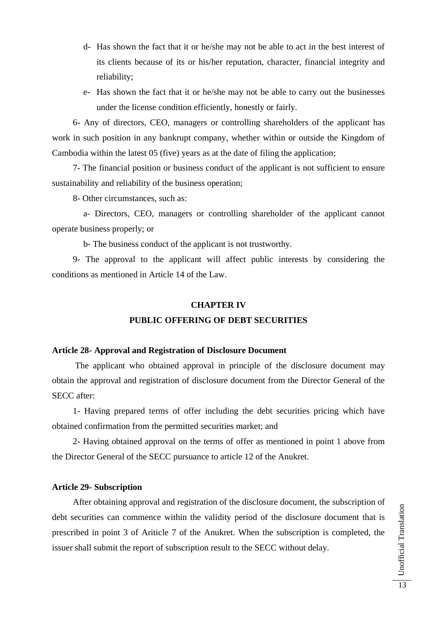- d- Has shown the fact that it or he/she may not be able to act in the best interest of its clients because of its or his/her reputation, character, financial integrity and reliability;
- e- Has shown the fact that it or he/she may not be able to carry out the businesses under the license condition efficiently, honestly or fairly.

6- Any of directors, CEO, managers or controlling shareholders of the applicant has work in such position in any bankrupt company, whether within or outside the Kingdom of Cambodia within the latest 05 (five) years as at the date of filing the application;

7- The financial position or business conduct of the applicant is not sufficient to ensure sustainability and reliability of the business operation;

8- Other circumstances, such as:

a- Directors, CEO, managers or controlling shareholder of the applicant cannot operate business properly; or

b- The business conduct of the applicant is not trustworthy.

9- The approval to the applicant will affect public interests by considering the conditions as mentioned in Article 14 of the Law.

#### **CHAPTER IV**

# **PUBLIC OFFERING OF DEBT SECURITIES**

### **Article 28- Approval and Registration of Disclosure Document**

The applicant who obtained approval in principle of the disclosure document may obtain the approval and registration of disclosure document from the Director General of the SECC after:

1- Having prepared terms of offer including the debt securities pricing which have obtained confirmation from the permitted securities market; and

2- Having obtained approval on the terms of offer as mentioned in point 1 above from the Director General of the SECC pursuance to article 12 of the Anukret.

# **Article 29- Subscription**

After obtaining approval and registration of the disclosure document, the subscription of debt securities can commence within the validity period of the disclosure document that is prescribed in point 3 of Ariticle 7 of the Anukret. When the subscription is completed, the issuer shall submit the report of subscription result to the SECC without delay.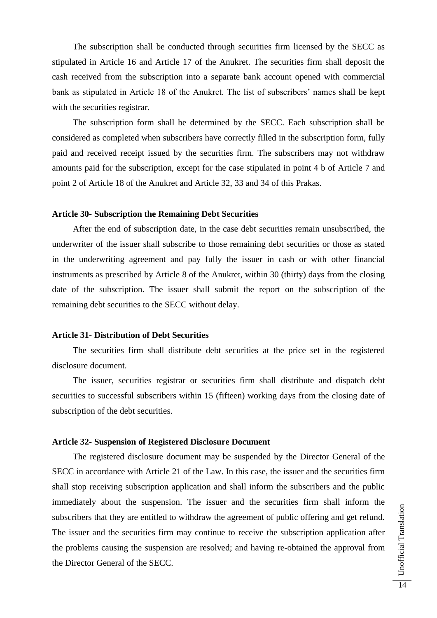The subscription shall be conducted through securities firm licensed by the SECC as stipulated in Article 16 and Article 17 of the Anukret. The securities firm shall deposit the cash received from the subscription into a separate bank account opened with commercial bank as stipulated in Article 18 of the Anukret. The list of subscribers' names shall be kept with the securities registrar.

The subscription form shall be determined by the SECC. Each subscription shall be considered as completed when subscribers have correctly filled in the subscription form, fully paid and received receipt issued by the securities firm. The subscribers may not withdraw amounts paid for the subscription, except for the case stipulated in point 4 b of Article 7 and point 2 of Article 18 of the Anukret and Article 32, 33 and 34 of this Prakas.

#### **Article 30- Subscription the Remaining Debt Securities**

After the end of subscription date, in the case debt securities remain unsubscribed, the underwriter of the issuer shall subscribe to those remaining debt securities or those as stated in the underwriting agreement and pay fully the issuer in cash or with other financial instruments as prescribed by Article 8 of the Anukret, within 30 (thirty) days from the closing date of the subscription. The issuer shall submit the report on the subscription of the remaining debt securities to the SECC without delay.

### **Article 31- Distribution of Debt Securities**

The securities firm shall distribute debt securities at the price set in the registered disclosure document.

The issuer, securities registrar or securities firm shall distribute and dispatch debt securities to successful subscribers within 15 (fifteen) working days from the closing date of subscription of the debt securities.

#### **Article 32- Suspension of Registered Disclosure Document**

The registered disclosure document may be suspended by the Director General of the SECC in accordance with Article 21 of the Law. In this case, the issuer and the securities firm shall stop receiving subscription application and shall inform the subscribers and the public immediately about the suspension. The issuer and the securities firm shall inform the subscribers that they are entitled to withdraw the agreement of public offering and get refund. The issuer and the securities firm may continue to receive the subscription application after the problems causing the suspension are resolved; and having re-obtained the approval from the Director General of the SECC.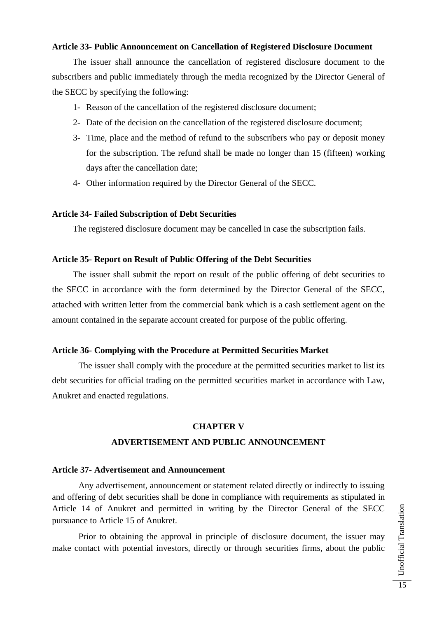# **Article 33- Public Announcement on Cancellation of Registered Disclosure Document**

The issuer shall announce the cancellation of registered disclosure document to the subscribers and public immediately through the media recognized by the Director General of the SECC by specifying the following:

- 1- Reason of the cancellation of the registered disclosure document;
- 2- Date of the decision on the cancellation of the registered disclosure document;
- 3- Time, place and the method of refund to the subscribers who pay or deposit money for the subscription. The refund shall be made no longer than 15 (fifteen) working days after the cancellation date;
- 4- Other information required by the Director General of the SECC.

#### **Article 34- Failed Subscription of Debt Securities**

The registered disclosure document may be cancelled in case the subscription fails.

#### **Article 35- Report on Result of Public Offering of the Debt Securities**

The issuer shall submit the report on result of the public offering of debt securities to the SECC in accordance with the form determined by the Director General of the SECC, attached with written letter from the commercial bank which is a cash settlement agent on the amount contained in the separate account created for purpose of the public offering.

# **Article 36- Complying with the Procedure at Permitted Securities Market**

The issuer shall comply with the procedure at the permitted securities market to list its debt securities for official trading on the permitted securities market in accordance with Law, Anukret and enacted regulations.

### **CHAPTER V**

## **ADVERTISEMENT AND PUBLIC ANNOUNCEMENT**

#### **Article 37- Advertisement and Announcement**

Any advertisement, announcement or statement related directly or indirectly to issuing and offering of debt securities shall be done in compliance with requirements as stipulated in Article 14 of Anukret and permitted in writing by the Director General of the SECC pursuance to Article 15 of Anukret.

Prior to obtaining the approval in principle of disclosure document, the issuer may make contact with potential investors, directly or through securities firms, about the public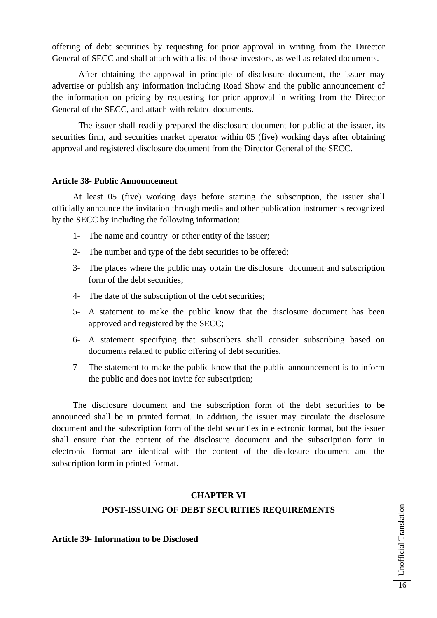offering of debt securities by requesting for prior approval in writing from the Director General of SECC and shall attach with a list of those investors, as well as related documents.

After obtaining the approval in principle of disclosure document, the issuer may advertise or publish any information including Road Show and the public announcement of the information on pricing by requesting for prior approval in writing from the Director General of the SECC, and attach with related documents.

The issuer shall readily prepared the disclosure document for public at the issuer, its securities firm, and securities market operator within 05 (five) working days after obtaining approval and registered disclosure document from the Director General of the SECC.

### **Article 38- Public Announcement**

At least 05 (five) working days before starting the subscription, the issuer shall officially announce the invitation through media and other publication instruments recognized by the SECC by including the following information:

- 1- The name and country or other entity of the issuer;
- 2- The number and type of the debt securities to be offered;
- 3- The places where the public may obtain the disclosure document and subscription form of the debt securities;
- 4- The date of the subscription of the debt securities;
- 5- A statement to make the public know that the disclosure document has been approved and registered by the SECC;
- 6- A statement specifying that subscribers shall consider subscribing based on documents related to public offering of debt securities.
- 7- The statement to make the public know that the public announcement is to inform the public and does not invite for subscription;

The disclosure document and the subscription form of the debt securities to be announced shall be in printed format. In addition, the issuer may circulate the disclosure document and the subscription form of the debt securities in electronic format, but the issuer shall ensure that the content of the disclosure document and the subscription form in electronic format are identical with the content of the disclosure document and the subscription form in printed format.

# **CHAPTER VI**

# **POST-ISSUING OF DEBT SECURITIES REQUIREMENTS**

**Article 39- Information to be Disclosed**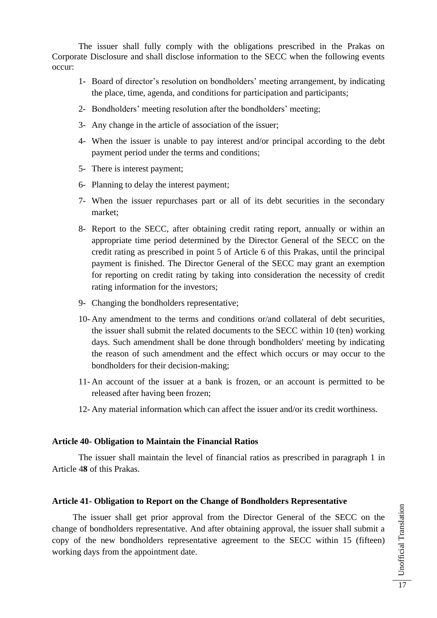The issuer shall fully comply with the obligations prescribed in the Prakas on Corporate Disclosure and shall disclose information to the SECC when the following events occur:

- 1- Board of director's resolution on bondholders' meeting arrangement, by indicating the place, time, agenda, and conditions for participation and participants;
- 2- Bondholders' meeting resolution after the bondholders' meeting;
- 3- Any change in the article of association of the issuer;
- 4- When the issuer is unable to pay interest and/or principal according to the debt payment period under the terms and conditions;
- 5- There is interest payment;
- 6- Planning to delay the interest payment;
- 7- When the issuer repurchases part or all of its debt securities in the secondary market;
- 8- Report to the SECC, after obtaining credit rating report, annually or within an appropriate time period determined by the Director General of the SECC on the credit rating as prescribed in point 5 of Article 6 of this Prakas, until the principal payment is finished. The Director General of the SECC may grant an exemption for reporting on credit rating by taking into consideration the necessity of credit rating information for the investors;
- 9- Changing the bondholders representative;
- 10- Any amendment to the terms and conditions or/and collateral of debt securities, the issuer shall submit the related documents to the SECC within 10 (ten) working days. Such amendment shall be done through bondholders' meeting by indicating the reason of such amendment and the effect which occurs or may occur to the bondholders for their decision-making;
- 11- An account of the issuer at a bank is frozen, or an account is permitted to be released after having been frozen;
- 12- Any material information which can affect the issuer and/or its credit worthiness.

#### **Article 40- Obligation to Maintain the Financial Ratios**

The issuer shall maintain the level of financial ratios as prescribed in paragraph 1 in Article 4**8** of this Prakas.

#### **Article 41- Obligation to Report on the Change of Bondholders Representative**

The issuer shall get prior approval from the Director General of the SECC on the change of bondholders representative. And after obtaining approval, the issuer shall submit a copy of the new bondholders representative agreement to the SECC within 15 (fifteen) working days from the appointment date.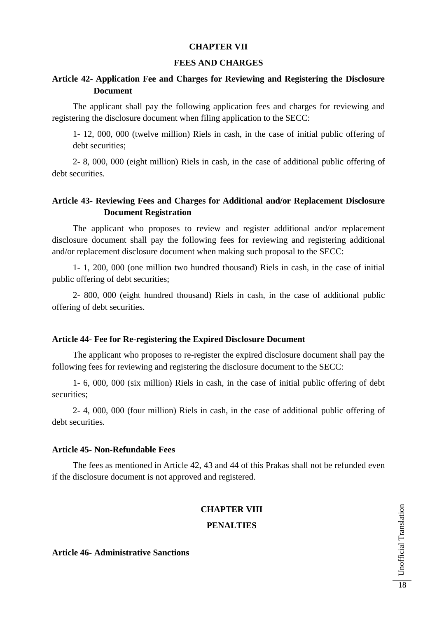# **CHAPTER VII**

## **FEES AND CHARGES**

# **Article 42- Application Fee and Charges for Reviewing and Registering the Disclosure Document**

The applicant shall pay the following application fees and charges for reviewing and registering the disclosure document when filing application to the SECC:

1- 12, 000, 000 (twelve million) Riels in cash, in the case of initial public offering of debt securities;

2- 8, 000, 000 (eight million) Riels in cash, in the case of additional public offering of debt securities.

# **Article 43- Reviewing Fees and Charges for Additional and/or Replacement Disclosure Document Registration**

The applicant who proposes to review and register additional and/or replacement disclosure document shall pay the following fees for reviewing and registering additional and/or replacement disclosure document when making such proposal to the SECC:

1- 1, 200, 000 (one million two hundred thousand) Riels in cash, in the case of initial public offering of debt securities;

2- 800, 000 (eight hundred thousand) Riels in cash, in the case of additional public offering of debt securities.

### **Article 44- Fee for Re-registering the Expired Disclosure Document**

The applicant who proposes to re-register the expired disclosure document shall pay the following fees for reviewing and registering the disclosure document to the SECC:

1- 6, 000, 000 (six million) Riels in cash, in the case of initial public offering of debt securities;

2- 4, 000, 000 (four million) Riels in cash, in the case of additional public offering of debt securities.

### **Article 45- Non-Refundable Fees**

The fees as mentioned in Article 42, 43 and 44 of this Prakas shall not be refunded even if the disclosure document is not approved and registered.

# **CHAPTER VIII**

### **PENALTIES**

# **Article 46- Administrative Sanctions**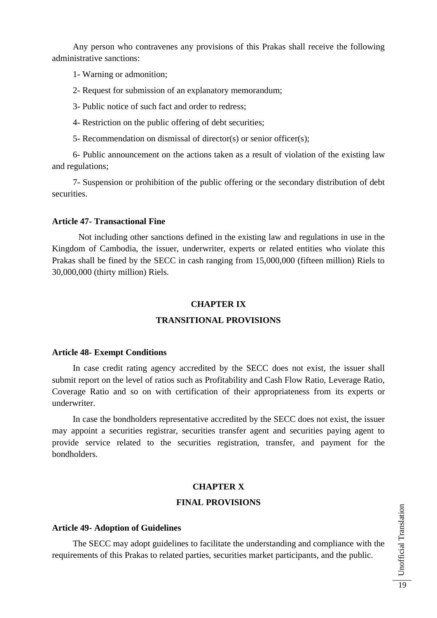Any person who contravenes any provisions of this Prakas shall receive the following administrative sanctions:

- 1- Warning or admonition;
- 2- Request for submission of an explanatory memorandum;
- 3- Public notice of such fact and order to redress;
- 4- Restriction on the public offering of debt securities;
- 5- Recommendation on dismissal of director(s) or senior officer(s);

6- Public announcement on the actions taken as a result of violation of the existing law and regulations;

7- Suspension or prohibition of the public offering or the secondary distribution of debt securities.

#### **Article 47- Transactional Fine**

Not including other sanctions defined in the existing law and regulations in use in the Kingdom of Cambodia, the issuer, underwriter, experts or related entities who violate this Prakas shall be fined by the SECC in cash ranging from 15,000,000 (fifteen million) Riels to 30,000,000 (thirty million) Riels.

# **CHAPTER IX**

## **TRANSITIONAL PROVISIONS**

#### **Article 48- Exempt Conditions**

In case credit rating agency accredited by the SECC does not exist, the issuer shall submit report on the level of ratios such as Profitability and Cash Flow Ratio, Leverage Ratio, Coverage Ratio and so on with certification of their appropriateness from its experts or underwriter.

In case the bondholders representative accredited by the SECC does not exist, the issuer may appoint a securities registrar, securities transfer agent and securities paying agent to provide service related to the securities registration, transfer, and payment for the bondholders.

### **CHAPTER X**

# **FINAL PROVISIONS**

#### **Article 49- Adoption of Guidelines**

The SECC may adopt guidelines to facilitate the understanding and compliance with the requirements of this Prakas to related parties, securities market participants, and the public.

Unofficial Translation Unofficial Translation